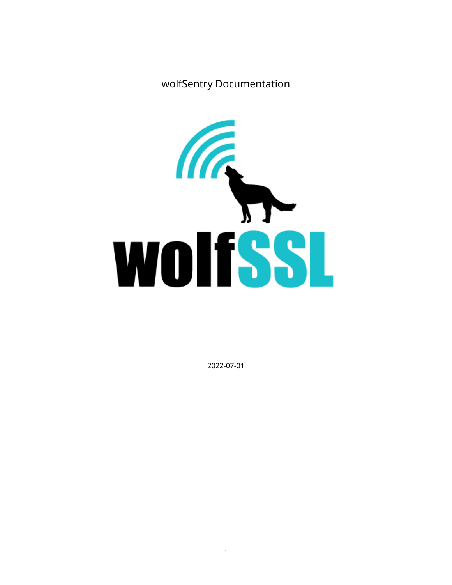wolfSentry Documentation



2022-07-01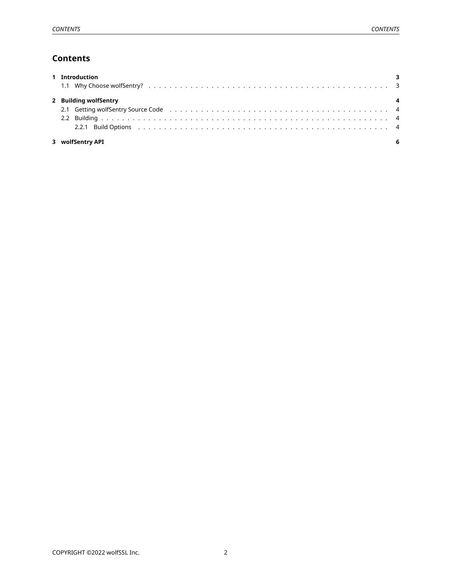# **Contents**

<span id="page-1-0"></span>

| 1 Introduction        |  |
|-----------------------|--|
|                       |  |
| 2 Building wolfSentry |  |
|                       |  |
|                       |  |
|                       |  |
| 3 wolfSentry API      |  |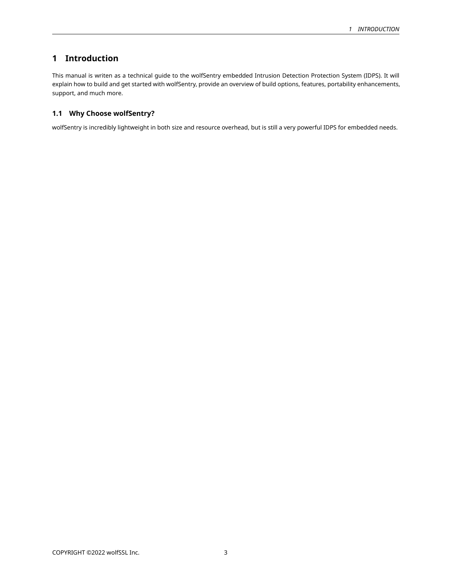# **1 Introduction**

This manual is writen as a technical guide to the wolfSentry embedded Intrusion Detection Protection System (IDPS). It will explain how to build and get started with wolfSentry, provide an overview of build options, features, portability enhancements, support, and much more.

## <span id="page-2-0"></span>**1.1 Why Choose wolfSentry?**

<span id="page-2-1"></span>wolfSentry is incredibly lightweight in both size and resource overhead, but is still a very powerful IDPS for embedded needs.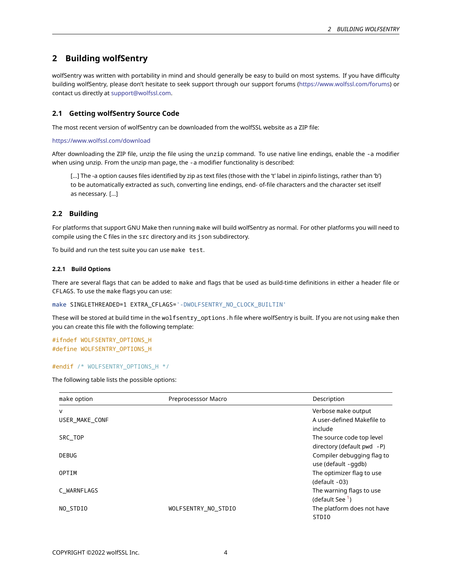# **2 Building wolfSentry**

wolfSentry was written with portability in mind and should generally be easy to build on most systems. If you have difficulty building wolfSentry, please don't hesitate to seek support through our support forums [\(https://www.wolfssl.com/forums](https://www.wolfssl.com/forums)) or contact us directly at [support@wolfssl.com.](mailto:support@wolfssl.com)

### <span id="page-3-0"></span>**2.1 Getting wolfSentry Source Code**

The most recent version of wolfSentry can be downloaded from the wolfSSL website as a ZIP file:

<https://www.wolfssl.com/download>

After downloading the ZIP file, unzip the file using the unzip command. To use native line endings, enable the -a modifier when using unzip. From the unzip man page, the -a modifier functionality is described:

[…] The -a option causes files identified by zip as text files (those with the 't' label in zipinfo listings, rather than 'b') to be automatically extracted as such, converting line endings, end- of-file characters and the character set itself as necessary. […]

#### <span id="page-3-1"></span>**2.2 Building**

For platforms that support GNU Make then running make will build wolfSentry as normal. For other platforms you will need to compile using the C files in the src directory and its json subdirectory.

<span id="page-3-2"></span>To build and run the test suite you can use make test.

#### **2.2.1 Build Options**

There are several flags that can be added to make and flags that be used as build-time definitions in either a header file or CFLAGS. To use the make flags you can use:

make SINGLETHREADED=1 EXTRA\_CFLAGS='-DWOLFSENTRY\_NO\_CLOCK\_BUILTIN'

These will be stored at build time in the wolfsentry\_options.h file where wolfSentry is built. If you are not using make then you can create this file with the following template:

#ifndef WOLFSENTRY\_OPTIONS\_H #define WOLFSENTRY\_OPTIONS\_H

#endif /\* WOLFSENTRY\_OPTIONS\_H \*/

The following table lists the possible options:

| make option    | Preprocesssor Macro | Description                |
|----------------|---------------------|----------------------------|
| v              |                     | Verbose make output        |
| USER MAKE CONF |                     | A user-defined Makefile to |
|                |                     | include                    |
| SRC TOP        |                     | The source code top level  |
|                |                     | directory (default pwd -P) |
| DEBUG          |                     | Compiler debugging flag to |
|                |                     | use (default -ggdb)        |
| OPTIM          |                     | The optimizer flag to use  |
|                |                     | (default -03)              |
| C WARNFLAGS    |                     | The warning flags to use   |
|                |                     | (default See $1$ )         |
| NO STDIO       | WOLFSENTRY NO STDIO | The platform does not have |
|                |                     | STDI0                      |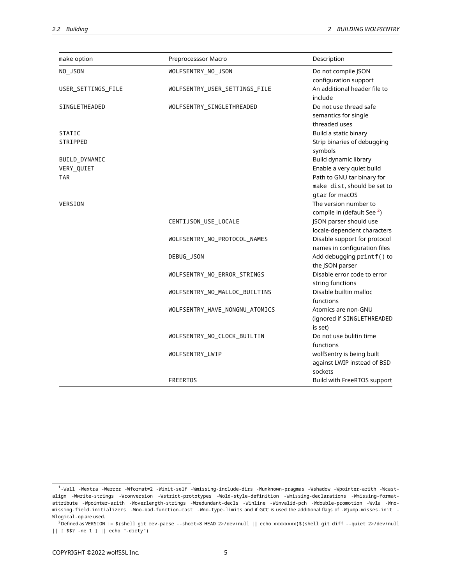| make option        | Preprocesssor Macro            | Description                                                                 |
|--------------------|--------------------------------|-----------------------------------------------------------------------------|
| NO_JSON            | WOLFSENTRY_NO_JSON             | Do not compile JSON<br>configuration support                                |
| USER_SETTINGS_FILE | WOLFSENTRY_USER_SETTINGS_FILE  | An additional header file to<br>include                                     |
| SINGLETHEADED      | WOLFSENTRY_SINGLETHREADED      | Do not use thread safe<br>semantics for single<br>threaded uses             |
| <b>STATIC</b>      |                                | Build a static binary                                                       |
| STRIPPED           |                                | Strip binaries of debugging<br>symbols                                      |
| BUILD_DYNAMIC      |                                | Build dynamic library                                                       |
| VERY_QUIET         |                                | Enable a very quiet build                                                   |
| <b>TAR</b>         |                                | Path to GNU tar binary for<br>make dist, should be set to<br>gtar for macOS |
| VERSION            |                                | The version number to<br>compile in (default See <sup>2</sup> )             |
|                    | CENTIJSON_USE_LOCALE           | JSON parser should use<br>locale-dependent characters                       |
|                    | WOLFSENTRY_NO_PROTOCOL_NAMES   | Disable support for protocol<br>names in configuration files                |
|                    | DEBUG_JSON                     | Add debugging printf() to<br>the JSON parser                                |
|                    | WOLFSENTRY_NO_ERROR_STRINGS    | Disable error code to error<br>string functions                             |
|                    | WOLFSENTRY_NO_MALLOC_BUILTINS  | Disable builtin malloc<br>functions                                         |
|                    | WOLFSENTRY_HAVE_NONGNU_ATOMICS | Atomics are non-GNU<br>(ignored if SINGLETHREADED<br>is set)                |
|                    | WOLFSENTRY_NO_CLOCK_BUILTIN    | Do not use bulitin time<br>functions                                        |
|                    | WOLFSENTRY_LWIP                | wolfSentry is being built<br>against LWIP instead of BSD<br>sockets         |
|                    | <b>FREERTOS</b>                | Build with FreeRTOS support                                                 |

<span id="page-4-1"></span><span id="page-4-0"></span><sup>1</sup> -Wall -Wextra -Werror -Wformat=2 -Winit-self -Wmissing-include-dirs -Wunknown-pragmas -Wshadow -Wpointer-arith -Wcastalign -Wwrite-strings -Wconversion -Wstrict-prototypes -Wold-style-definition -Wmissing-declarations -Wmissing-formatattribute -Wpointer-arith -Woverlength-strings -Wredundant-decls -Winline -Winvalid-pch -Wdouble-promotion -Wvla -Wnomissing-field-initializers -Wno-bad-function-cast -Wno-type-limits and if GCC is used the additional flags of -Wjump-misses-init - Wlogical-op are used.

 $2$ Defined as VERSION := \$(shell git rev-parse --short=8 HEAD 2>/dev/null || echo xxxxxxxx)\$(shell git diff --quiet 2>/dev/null || [ \$\$? -ne 1 ] || echo "-dirty")